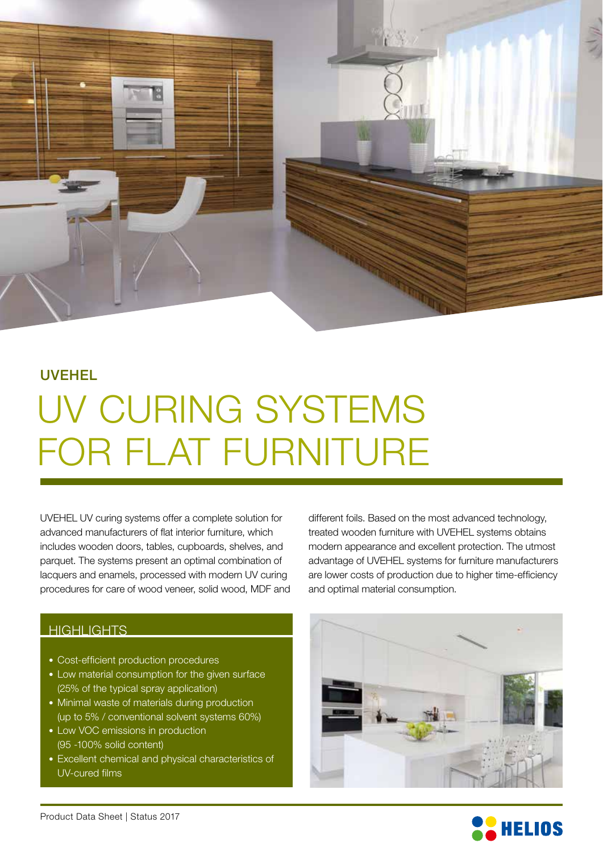

## UVEHEL

## UV CURING SYSTEMS FOR FLAT FURNITURE

UVEHEL UV curing systems offer a complete solution for advanced manufacturers of flat interior furniture, which includes wooden doors, tables, cupboards, shelves, and parquet. The systems present an optimal combination of lacquers and enamels, processed with modern UV curing procedures for care of wood veneer, solid wood, MDF and

different foils. Based on the most advanced technology, treated wooden furniture with UVEHEL systems obtains modern appearance and excellent protection. The utmost advantage of UVEHEL systems for furniture manufacturers are lower costs of production due to higher time-efficiency and optimal material consumption.

### **HIGHLIGHTS**

- Cost-efficient production procedures
- Low material consumption for the given surface (25% of the typical spray application)
- Minimal waste of materials during production (up to 5% / conventional solvent systems 60%)
- Low VOC emissions in production (95 -100% solid content)
- Excellent chemical and physical characteristics of UV-cured films



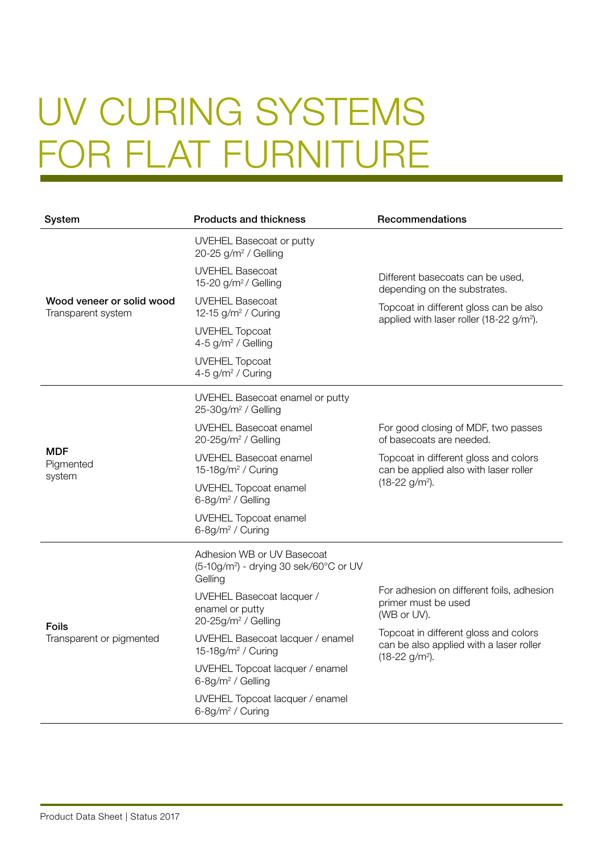# UV CURING SYSTEMS FOR FLAT FURNITURE

| System                                          | <b>Products and thickness</b>                                                               | Recommendations                                                                                                                                                                                      |
|-------------------------------------------------|---------------------------------------------------------------------------------------------|------------------------------------------------------------------------------------------------------------------------------------------------------------------------------------------------------|
| Wood veneer or solid wood<br>Transparent system | <b>UVEHEL Basecoat or putty</b><br>20-25 $g/m^2$ / Gelling                                  |                                                                                                                                                                                                      |
|                                                 | <b>UVEHEL Basecoat</b><br>15-20 $g/m^2$ / Gelling                                           | Different basecoats can be used,<br>depending on the substrates.<br>Topcoat in different gloss can be also<br>applied with laser roller (18-22 $g/m^2$ ).                                            |
|                                                 | <b>UVEHEL Basecoat</b><br>12-15 g/m <sup>2</sup> / Curing                                   |                                                                                                                                                                                                      |
|                                                 | <b>UVEHEL Topcoat</b><br>4-5 g/m <sup>2</sup> / Gelling                                     |                                                                                                                                                                                                      |
|                                                 | <b>UVEHEL Topcoat</b><br>4-5 g/m <sup>2</sup> / Curing                                      |                                                                                                                                                                                                      |
| <b>MDF</b><br>Pigmented<br>system               | UVEHEL Basecoat enamel or putty<br>25-30g/m <sup>2</sup> / Gelling                          |                                                                                                                                                                                                      |
|                                                 | <b>UVEHEL Basecoat enamel</b><br>$20-25g/m^2$ / Gelling                                     | For good closing of MDF, two passes<br>of basecoats are needed.                                                                                                                                      |
|                                                 | <b>UVEHEL Basecoat enamel</b><br>15-18g/m <sup>2</sup> / Curing                             | Topcoat in different gloss and colors<br>can be applied also with laser roller<br>$(18-22)$ g/m <sup>2</sup> ).                                                                                      |
|                                                 | <b>UVEHEL Topcoat enamel</b><br>6-8g/m <sup>2</sup> / Gelling                               |                                                                                                                                                                                                      |
|                                                 | <b>UVEHEL Topcoat enamel</b><br>6-8g/m <sup>2</sup> / Curing                                |                                                                                                                                                                                                      |
| <b>Foils</b><br>Transparent or pigmented        | Adhesion WB or UV Basecoat<br>(5-10g/m <sup>2</sup> ) - drying 30 sek/60°C or UV<br>Gelling |                                                                                                                                                                                                      |
|                                                 | UVEHEL Basecoat lacquer /<br>enamel or putty<br>$20-25g/m^2$ / Gelling                      | For adhesion on different foils, adhesion<br>primer must be used<br>(WB or UV).<br>Topcoat in different gloss and colors<br>can be also applied with a laser roller<br>$(18-22)$ g/m <sup>2</sup> ). |
|                                                 | UVEHEL Basecoat lacquer / enamel<br>15-18g/m <sup>2</sup> / Curing                          |                                                                                                                                                                                                      |
|                                                 | UVEHEL Topcoat lacquer / enamel<br>6-8g/m <sup>2</sup> / Gelling                            |                                                                                                                                                                                                      |
|                                                 | UVEHEL Topcoat lacquer / enamel<br>6-8g/m <sup>2</sup> / Curing                             |                                                                                                                                                                                                      |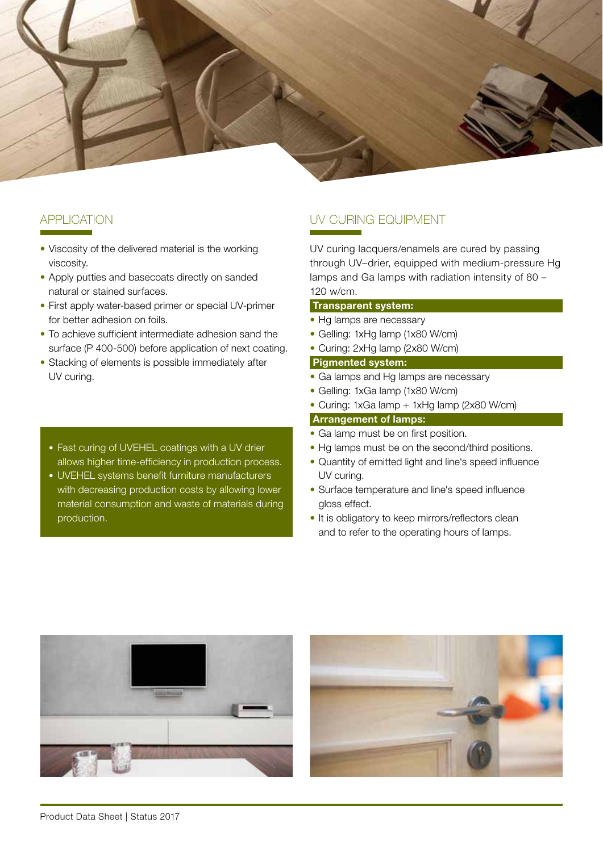

### **APPLICATION**

- Viscosity of the delivered material is the working viscosity.
- Apply putties and basecoats directly on sanded natural or stained surfaces.
- First apply water-based primer or special UV-primer for better adhesion on foils.
- To achieve sufficient intermediate adhesion sand the surface (P 400-500) before application of next coating.
- Stacking of elements is possible immediately after UV curing.
	- Fast curing of UVEHEL coatings with a UV drier allows higher time-efficiency in production process.
- UVEHEL systems benefit furniture manufacturers with decreasing production costs by allowing lower material consumption and waste of materials during production.

## UV CURING EQUIPMENT

UV curing lacquers/enamels are cured by passing through UV–drier, equipped with medium-pressure Hg lamps and Ga lamps with radiation intensity of 80 – 120 w/cm.

#### Transparent system:

- Hg lamps are necessary
- Gelling: 1xHg lamp (1x80 W/cm)
- Curing: 2xHg lamp (2x80 W/cm)

#### Pigmented system:

- Ga lamps and Hg lamps are necessary
- Gelling: 1xGa lamp (1x80 W/cm)
- Curing: 1xGa lamp + 1xHg lamp (2x80 W/cm)

#### Arrangement of lamps:

- Ga lamp must be on first position.
- Hg lamps must be on the second/third positions.
- Quantity of emitted light and line's speed influence UV curing.
- Surface temperature and line's speed influence gloss effect.
- It is obligatory to keep mirrors/reflectors clean and to refer to the operating hours of lamps.